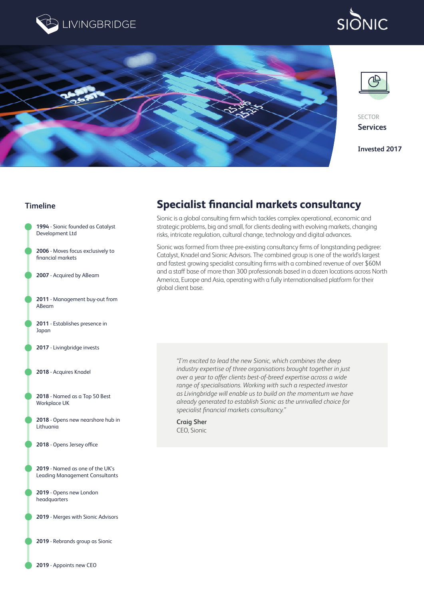

# **SIONIC**



## **Timeline**



**2019** - Rebrands group as Sionic

**2019** - Appoints new CEO

## **Specialist financial markets consultancy**

Sionic is a global consulting firm which tackles complex operational, economic and strategic problems, big and small, for clients dealing with evolving markets, changing risks, intricate regulation, cultural change, technology and digital advances.

Sionic was formed from three pre-existing consultancy firms of longstanding pedigree: Catalyst, Knadel and Sionic Advisors. The combined group is one of the world's largest and fastest growing specialist consulting firms with a combined revenue of over \$60M and a staff base of more than 300 professionals based in a dozen locations across North America, Europe and Asia, operating with a fully internationalised platform for their global client base.

*"I'm excited to lead the new Sionic, which combines the deep industry expertise of three organisations brought together in just over a year to offer clients best-of-breed expertise across a wide range of specialisations. Working with such a respected investor as Livingbridge will enable us to build on the momentum we have already generated to establish Sionic as the unrivalled choice for specialist financial markets consultancy."*

**Craig Sher** CEO, Sionic